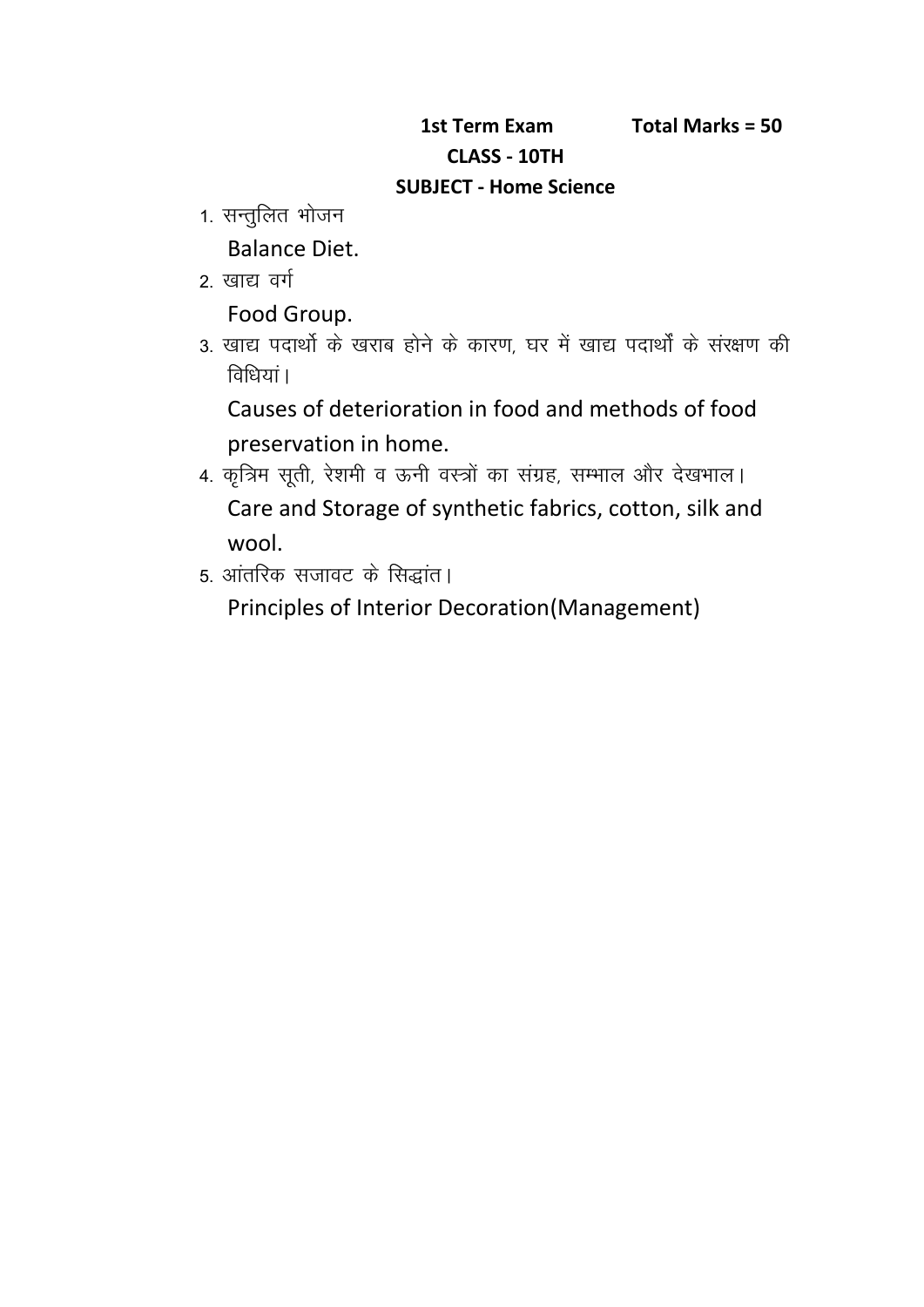## **1st Term Exam Total Marks = 50 CLASS - 10TH SUBJECT - Home Science**

- 1st Term Ex<br>: CLASS<br>1. सन्तुलित भोजन<br>Balance Diet. Balance Diet. TECT : Mail of the Main CLASS<br>2. सन्तुलित भोजन<br>2. खाद्य वर्ग<br>Food Group.
- 

Food Group.

1. सन्तुलित भोजन<br>Balance Diet.<br>2. खाद्य वर्ग<br>5. खाद्य पदार्थो के खराब होने के कारण, घर में खाद्य पदार्थों के संरक्षण की<br>विधियां।<br>विधियां। Balance Diet.<br>खाद्य वर्ग<br>Food Group.<br>खाद्य पदार्थो के खराब होने के क<br>विधियां।<br>Causes of deterioration in

Causes of deterioration in food and methods of food preservation in home.

- 3. खाद्य पदार्थो के खराब होने के कारण, घर में खाद्य पदार्थों के संरक्षण की<br>विधियां।<br>Causes of deterioration in food and methods of food<br>preservation in home.<br>4. कृत्रिम सूती, रेशमी व ऊनी वस्त्रों का संग्रह, सम्भाल और देखभ wool. 4. कृत्रिम सूती, रेशमी व ऊनी वस्त्रों का संग्रह, सम्भाल और देखभाल।<br>Care and Storage of synthetic fabrics, cotton, silk an<br>wool.<br>5. आंतरिक सजावट के सिद्धांत।
- 

Principles of Interior Decoration(Management)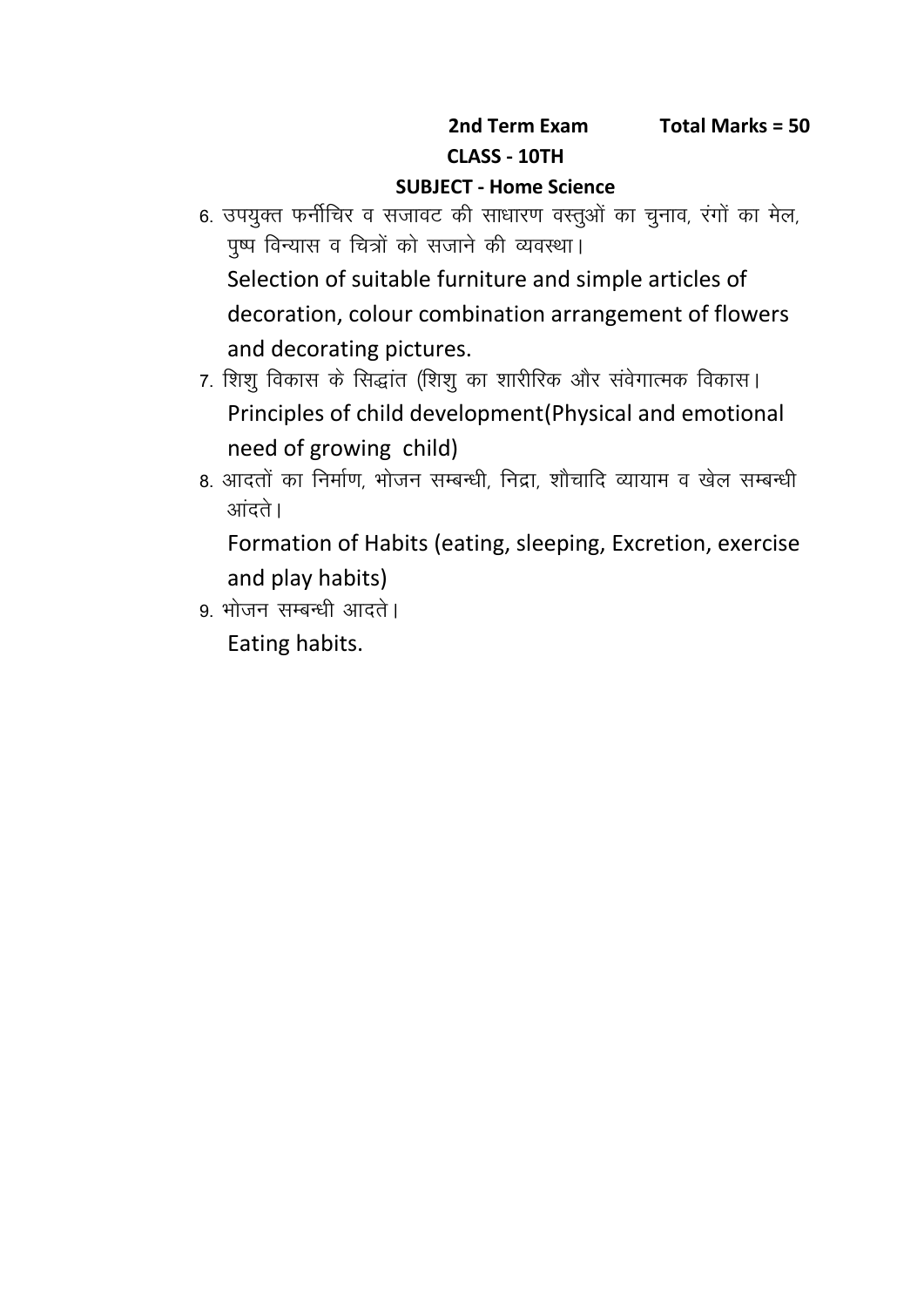## **SUBJECT - Home Science**

- and Term Exam Total Marks = 50<br>CLASS 10TH<br>6. उपयुक्त फर्नीचिर व सजावट की साधारण वस्तुओं का चुनाव, रंगों का मेल,<br>पुष्प विन्यास व चित्रों को सजाने की व्यवस्था। **2nd Term Exam Fo**<br>CLASS - 10TH SUBJECT - Home Science<br>उपयुक्त फर्नीचिर व सजावट की साधारण वस्तुओं का चुनात्<br>पुष्प विन्यास व चित्रों को सजाने की व्यवस्था।<br>Selection of suitable furniture and simple arti Selection of suitable furniture and simple articles of decoration, colour combination arrangement of flowers and decorating pictures. पुष्प विन्यास व चित्रों को सजाने की व्यवस्था।<br>Selection of suitable furniture and simple articles of<br>decoration, colour combination arrangement of flowers<br>and decorating pictures.<br>7. शिशु विकास के सिद्धांत (शिशु का शारीरि
- Principles of child development(Physical and emotional need of growing child) and decorating pictures.<br>7. शिशु विकास के सिद्धांत (शिशु का शारीरिक और संवेगात्मक विकास।<br>Principles of child development(Physical and emotional<br>need of growing child)<br>8. आदतों का निर्माण, भोजन सम्बन्धी, निद्रा, शौचादि व्य 7. शिशु विकास के सिद्धांत (शिशु का शारीरिक और संवेगात्मक विकास।<br>Principles of child development(Physical and emotior<br>need of growing child)<br>8. आदतों का निर्माण, भोजन सम्बन्धी, निद्रा, शौचादि व्यायाम व खेल सम्<br>आंदते।
- 

Formation of Habits (eating, sleeping, Excretion, exercise and play habits) 8. आदतों का निर्माण, भोजन सम्बन्धी, निद्रा, शौचादि व्यायाम व खेल सम्बन्धी<br>आंदते।<br>Formation of Habits (eating, sleeping, Excretion, exercise<br>and play habits)<br>9. भोजन सम्बन्धी आदते।

Eating habits.